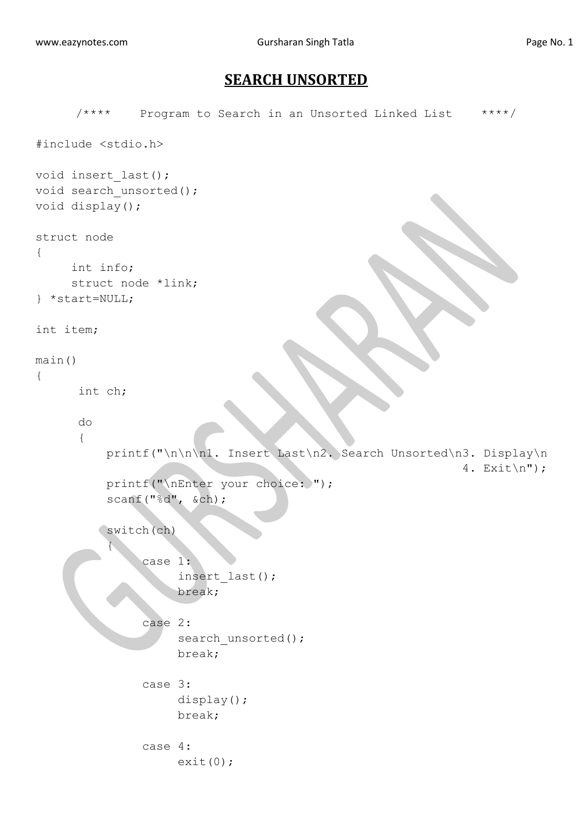## **SEARCH UNSORTED**

```
/**** Program to Search in an Unsorted Linked List ****/
#include <stdio.h>
void insert_last();
void search unsorted();
void display();
struct node
{
     int info;
     struct node *link;
} *start=NULL;
int item;
main()
{
       int ch;
       do
       {
           printf("\n\n\n1. Insert Last\n2. Search Unsorted\n3. Display\n
                                                               4. Exit\ln");
          printf("\nEnter your choice: ");
           scanf("%d", &ch);
           switch(ch)
 {
                case 1:
                      insert_last();
                      break;
                case 2:
                     search unsorted();
                      break;
                case 3:
                     display();
                     break;
               case 4:
                     exit(0);
```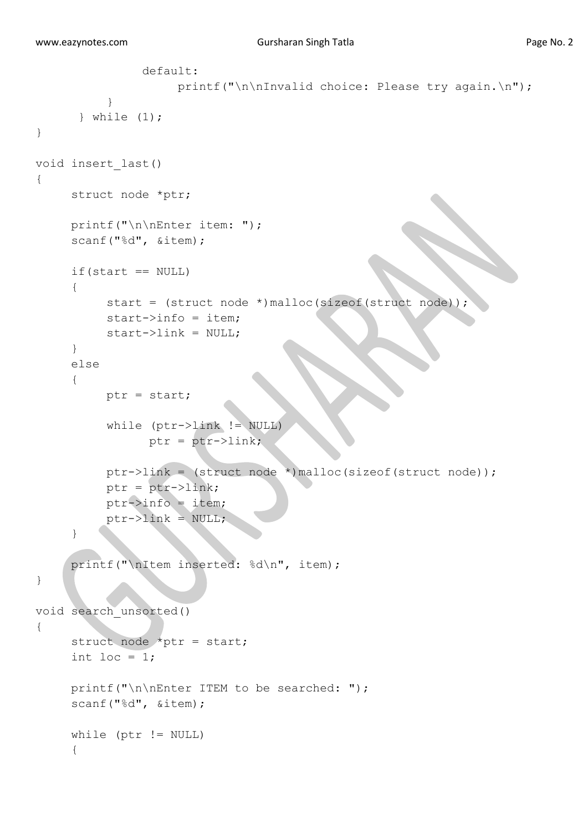```
 default:
                    printf("\n\nInvalid choice: Please try again.\n");
 }
       } while (1);
} 
void insert_last()
{
     struct node *ptr;
     printf("\n\nEnter item: ");
     scanf("%d", &item);
     if(start == NULL){
          start = (struct node *)malloc(sizeof(struct node));
          start->info = item;
          start->link = NULL;
     }
     else
     {
          ptr = start;
           while (ptr->link != NULL)
                ptr = ptr->link; ptr->link = (struct node *)malloc(sizeof(struct node));
           ptr = ptr->link;
          ptr->info = item;
          ptr->link = NULL;}
     printf("\nItem inserted: %d\n", item);
}
void search_unsorted()
{
      struct node *ptr = start;
     int loc = 1;
     printf("\n\nEnter ITEM to be searched: ");
     scanf("%d", &item);
      while (ptr != NULL)
      {
```